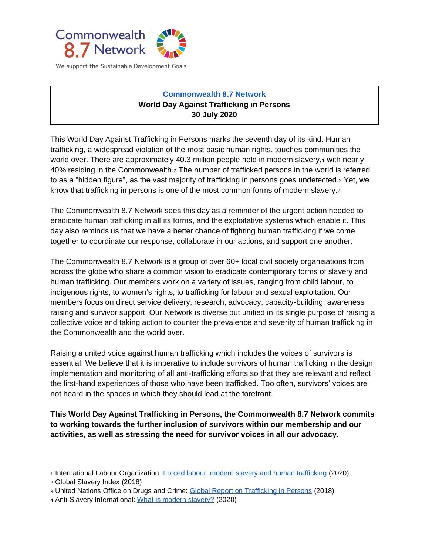

We support the Sustainable Development Goals

## **Commonwealth 8.7 Network World Day Against Trafficking in Persons 30 July 2020**

This World Day Against Trafficking in Persons marks the seventh day of its kind. Human trafficking, a widespread violation of the most basic human rights, touches communities the world over. There are approximately 40.3 million people held in modern slavery, with nearly 40% residing in the Commonwealth.<sup>2</sup> The number of trafficked persons in the world is referred to as a "hidden figure", as the vast majority of trafficking in persons goes undetected.<sup>3</sup> Yet, we know that trafficking in persons is one of the most common forms of modern slavery.<sup>4</sup>

The Commonwealth 8.7 Network sees this day as a reminder of the urgent action needed to eradicate human trafficking in all its forms, and the exploitative systems which enable it. This day also reminds us that we have a better chance of fighting human trafficking if we come together to coordinate our response, collaborate in our actions, and support one another.

The Commonwealth 8.7 Network is a group of over 60+ local civil society organisations from across the globe who share a common vision to eradicate contemporary forms of slavery and human trafficking. Our members work on a variety of issues, ranging from child labour, to indigenous rights, to women's rights, to trafficking for labour and sexual exploitation. Our members focus on direct service delivery, research, advocacy, capacity-building, awareness raising and survivor support. Our Network is diverse but unified in its single purpose of raising a collective voice and taking action to counter the prevalence and severity of human trafficking in the Commonwealth and the world over.

Raising a united voice against human trafficking which includes the voices of survivors is essential. We believe that it is imperative to include survivors of human trafficking in the design, implementation and monitoring of all anti-trafficking efforts so that they are relevant and reflect the first-hand experiences of those who have been trafficked. Too often, survivors' voices are not heard in the spaces in which they should lead at the forefront.

**This World Day Against Trafficking in Persons, the Commonwealth 8.7 Network commits to working towards the further inclusion of survivors within our membership and our activities, as well as stressing the need for survivor voices in all our advocacy.** 

- <sup>1</sup> International Labour Organization: [Forced labour, modern slavery and human trafficking](https://www.ilo.org/global/topics/forced-labour/lang--en/index.htm#:~:text=Facts%20and%20figures,15.4%20million%20in%20forced%20marriage.) (2020)
- <sup>2</sup> Global Slavery Index (2018)
- <sup>3</sup> United Nations Office on Drugs and Crime: [Global Report on Trafficking in Persons](https://www.unodc.org/documents/data-and-analysis/glotip/2018/GLOTiP_2018_BOOK_web_small.pdf) (2018)
- <sup>4</sup> Anti-Slavery International: [What is modern slavery?](https://www.antislavery.org/slavery-today/modern-slavery/) (2020)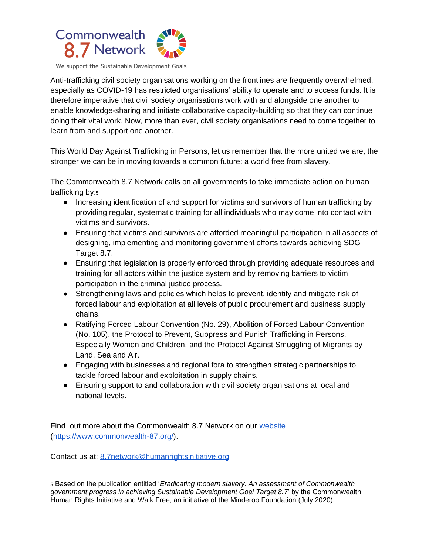

We support the Sustainable Development Goals

Anti-trafficking civil society organisations working on the frontlines are frequently overwhelmed, especially as COVID-19 has restricted organisations' ability to operate and to access funds. It is therefore imperative that civil society organisations work with and alongside one another to enable knowledge-sharing and initiate collaborative capacity-building so that they can continue doing their vital work. Now, more than ever, civil society organisations need to come together to learn from and support one another.

This World Day Against Trafficking in Persons, let us remember that the more united we are, the stronger we can be in moving towards a common future: a world free from slavery.

The Commonwealth 8.7 Network calls on all governments to take immediate action on human trafficking by:<sup>5</sup>

- Increasing identification of and support for victims and survivors of human trafficking by providing regular, systematic training for all individuals who may come into contact with victims and survivors.
- Ensuring that victims and survivors are afforded meaningful participation in all aspects of designing, implementing and monitoring government efforts towards achieving SDG Target 8.7.
- Ensuring that legislation is properly enforced through providing adequate resources and training for all actors within the justice system and by removing barriers to victim participation in the criminal justice process.
- Strengthening laws and policies which helps to prevent, identify and mitigate risk of forced labour and exploitation at all levels of public procurement and business supply chains.
- Ratifying Forced Labour Convention (No. 29), Abolition of Forced Labour Convention (No. 105), the Protocol to Prevent, Suppress and Punish Trafficking in Persons, Especially Women and Children, and the Protocol Against Smuggling of Migrants by Land, Sea and Air.
- Engaging with businesses and regional fora to strengthen strategic partnerships to tackle forced labour and exploitation in supply chains.
- Ensuring support to and collaboration with civil society organisations at local and national levels.

Find out more about the Commonwealth 8.7 Network on our [website](https://www.commonwealth-87.org/) [\(https://www.commonwealth-87.org/\)](https://www.commonwealth-87.org/).

Contact us at: [8.7network@humanrightsinitiative.org](mailto:8.7network@humanrightsinitiative.org)

<sup>5</sup> Based on the publication entitled '*Eradicating modern slavery: An assessment of Commonwealth government progress in achieving Sustainable Development Goal Target 8.7*' by the Commonwealth Human Rights Initiative and Walk Free, an initiative of the Minderoo Foundation (July 2020).